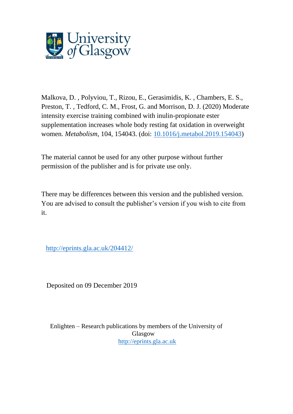

Malkova, D. , Polyviou, T., Rizou, E., Gerasimidis, K. , Chambers, E. S., Preston, T. , Tedford, C. M., Frost, G. and Morrison, D. J. (2020) Moderate intensity exercise training combined with inulin-propionate ester supplementation increases whole body resting fat oxidation in overweight women. *Metabolism*, 104, 154043. (doi: [10.1016/j.metabol.2019.154043\)](http://dx.doi.org/10.1016/j.metabol.2019.154043)

The material cannot be used for any other purpose without further permission of the publisher and is for private use only.

There may be differences between this version and the published version. You are advised to consult the publisher's version if you wish to cite from it.

<http://eprints.gla.ac.uk/204412/>

Deposited on 09 December 2019

Enlighten – Research publications by members of the University of Glasgow [http://eprints.gla.ac.uk](http://eprints.gla.ac.uk/)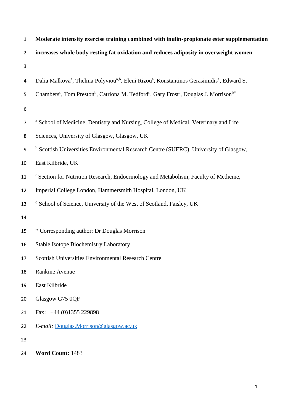| $\mathbf{1}$   | Moderate intensity exercise training combined with inulin-propionate ester supplementation                                                        |
|----------------|---------------------------------------------------------------------------------------------------------------------------------------------------|
| $\overline{2}$ | increases whole body resting fat oxidation and reduces adiposity in overweight women                                                              |
| 3              |                                                                                                                                                   |
| 4              | Dalia Malkova <sup>a</sup> , Thelma Polyviou <sup>a,b</sup> , Eleni Rizou <sup>a</sup> , Konstantinos Gerasimidis <sup>a</sup> , Edward S.        |
| 5              | Chambers <sup>c</sup> , Tom Preston <sup>b</sup> , Catriona M. Tedford <sup>d</sup> , Gary Frost <sup>c</sup> , Douglas J. Morrison <sup>b*</sup> |
| 6              |                                                                                                                                                   |
| $\overline{7}$ | <sup>a</sup> School of Medicine, Dentistry and Nursing, College of Medical, Veterinary and Life                                                   |
| 8              | Sciences, University of Glasgow, Glasgow, UK                                                                                                      |
| 9              | <sup>b</sup> Scottish Universities Environmental Research Centre (SUERC), University of Glasgow,                                                  |
| 10             | East Kilbride, UK                                                                                                                                 |
| 11             | <sup>c</sup> Section for Nutrition Research, Endocrinology and Metabolism, Faculty of Medicine,                                                   |
| 12             | Imperial College London, Hammersmith Hospital, London, UK                                                                                         |
| 13             | <sup>d</sup> School of Science, University of the West of Scotland, Paisley, UK                                                                   |
| 14             |                                                                                                                                                   |
| 15             | * Corresponding author: Dr Douglas Morrison                                                                                                       |
| 16             | <b>Stable Isotope Biochemistry Laboratory</b>                                                                                                     |
| 17             | Scottish Universities Environmental Research Centre                                                                                               |
| 18             | Rankine Avenue                                                                                                                                    |
| 19             | East Kilbride                                                                                                                                     |
| 20             | Glasgow G75 0QF                                                                                                                                   |
| 21             | Fax: $+44$ (0)1355 229898                                                                                                                         |
| 22             | E-mail: Douglas.Morrison@glasgow.ac.uk                                                                                                            |
| 23             |                                                                                                                                                   |
| 24             | Word Count: 1483                                                                                                                                  |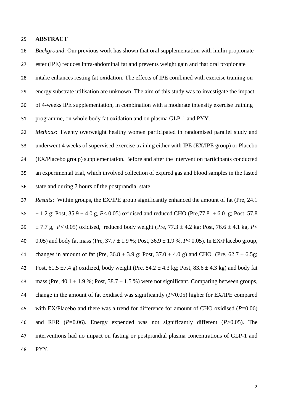### **ABSTRACT**

 *Background*: Our previous work has shown that oral supplementation with inulin propionate ester (IPE) reduces intra-abdominal fat and prevents weight gain and that oral propionate intake enhances resting fat oxidation. The effects of IPE combined with exercise training on energy substrate utilisation are unknown. The aim of this study was to investigate the impact of 4-weeks IPE supplementation, in combination with a moderate intensity exercise training programme, on whole body fat oxidation and on plasma GLP-1 and PYY.

 *Methods***:** Twenty overweight healthy women participated in randomised parallel study and underwent 4 weeks of supervised exercise training either with IPE (EX/IPE group) or Placebo (EX/Placebo group) supplementation. Before and after the intervention participants conducted an experimental trial, which involved collection of expired gas and blood samples in the fasted state and during 7 hours of the postprandial state.

 *Results*: Within groups, the EX/IPE group significantly enhanced the amount of fat (Pre, 24.1 38  $\pm$  1.2 g; Post, 35.9  $\pm$  4.0 g, *P*< 0.05) oxidised and reduced CHO (Pre, 77.8  $\pm$  6.0 g; Post, 57.8 39  $\pm$  7.7 g, *P*< 0.05) oxidised, reduced body weight (Pre, 77.3  $\pm$  4.2 kg; Post, 76.6  $\pm$  4.1 kg, *P*< 0.05) and body fat mass (Pre, 37.7 ± 1.9 %; Post, 36.9 ± 1.9 %, *P*< 0.05). In EX/Placebo group, 41 changes in amount of fat (Pre,  $36.8 \pm 3.9$  g; Post,  $37.0 \pm 4.0$  g) and CHO (Pre,  $62.7 \pm 6.5$ g; 42 Post,  $61.5 \pm 7.4$  g) oxidized, body weight (Pre,  $84.2 \pm 4.3$  kg; Post,  $83.6 \pm 4.3$  kg) and body fat 43 mass (Pre,  $40.1 \pm 1.9$  %; Post,  $38.7 \pm 1.5$  %) were not significant. Comparing between groups, change in the amount of fat oxidised was significantly (*P*<0.05) higher for EX/IPE compared 45 with EX/Placebo and there was a trend for difference for amount of CHO oxidised ( $P=0.06$ ) and RER (*P*=0.06). Energy expended was not significantly different (*P*>0.05). The interventions had no impact on fasting or postprandial plasma concentrations of GLP-1 and PYY.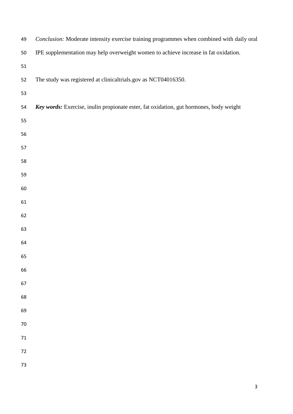| 49     | Conclusion: Moderate intensity exercise training programmes when combined with daily oral |
|--------|-------------------------------------------------------------------------------------------|
| 50     | IPE supplementation may help overweight women to achieve increase in fat oxidation.       |
| 51     |                                                                                           |
| 52     | The study was registered at clinicaltrials.gov as NCT04016350.                            |
| 53     |                                                                                           |
| 54     | Key words: Exercise, inulin propionate ester, fat oxidation, gut hormones, body weight    |
| 55     |                                                                                           |
| 56     |                                                                                           |
| 57     |                                                                                           |
| 58     |                                                                                           |
| 59     |                                                                                           |
| 60     |                                                                                           |
| 61     |                                                                                           |
| 62     |                                                                                           |
| 63     |                                                                                           |
| 64     |                                                                                           |
| 65     |                                                                                           |
| 66     |                                                                                           |
| 67     |                                                                                           |
| 68     |                                                                                           |
| 69     |                                                                                           |
| 70     |                                                                                           |
| $71\,$ |                                                                                           |
| $72\,$ |                                                                                           |
| $73\,$ |                                                                                           |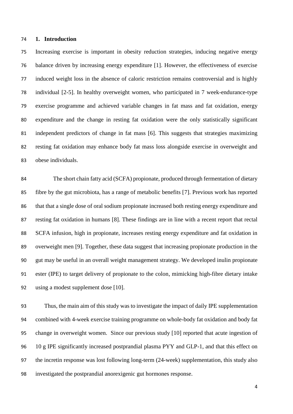## **1. Introduction**

 Increasing exercise is important in obesity reduction strategies, inducing negative energy balance driven by increasing energy expenditure [1]. However, the effectiveness of exercise induced weight loss in the absence of caloric restriction remains controversial and is highly individual [2-5]. In healthy overweight women, who participated in 7 week-endurance-type exercise programme and achieved variable changes in fat mass and fat oxidation, energy expenditure and the change in resting fat oxidation were the only statistically significant independent predictors of change in fat mass [6]. This suggests that strategies maximizing resting fat oxidation may enhance body fat mass loss alongside exercise in overweight and obese individuals.

 The short chain fatty acid (SCFA) propionate, produced through fermentation of dietary fibre by the gut microbiota, has a range of metabolic benefits [7]. Previous work has reported that that a single dose of oral sodium propionate increased both resting energy expenditure and resting fat oxidation in humans [8]. These findings are in line with a recent report that rectal SCFA infusion, high in propionate, increases resting energy expenditure and fat oxidation in overweight men [9]. Together, these data suggest that increasing propionate production in the gut may be useful in an overall weight management strategy. We developed inulin propionate ester (IPE) to target delivery of propionate to the colon, mimicking high-fibre dietary intake 92 using a modest supplement dose [10].

 Thus, the main aim of this study was to investigate the impact of daily IPE supplementation combined with 4-week exercise training programme on whole-body fat oxidation and body fat change in overweight women. Since our previous study [10] reported that acute ingestion of 10 g IPE significantly increased postprandial plasma PYY and GLP-1, and that this effect on the incretin response was lost following long-term (24-week) supplementation, this study also investigated the postprandial anorexigenic gut hormones response.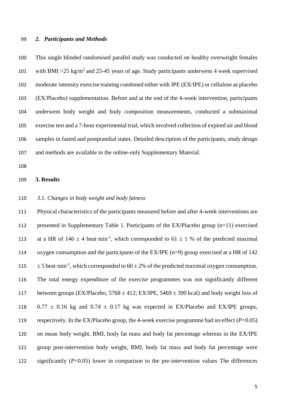### *2. Participants and Methods*

 This single blinded randomised parallel study was conducted on healthy overweight females 101 with BMI  $>25 \text{ kg/m}^2$  and 25-45 years of age. Study participants underwent 4 week supervised moderate intensity exercise training combined either with IPE (EX/IPE) or cellulose as placebo (EX/Placebo) supplementation. Before and at the end of the 4-week intervention, participants underwent body weight and body composition measurements, conducted a submaximal exercise test and a 7-hour experimental trial, which involved collection of expired air and blood samples in fasted and postprandial states. Detailed description of the participants, study design and methods are available in the online-only Supplementary Material.

### **3. Results**

## *3.1. Changes in body weight and body fatness*

 Physical characteristics of the participants measured before and after 4-week interventions are presented in Supplementary Table 1. Participants of the EX/Placebo group (n=11) exercised 113 at a HR of  $146 \pm 4$  beat $\cdot$ min<sup>-1</sup>, which corresponded to  $61 \pm 1$  % of the predicted maximal oxygen consumption and the participants of the EX/IPE (n=9) group exercised at a HR of 142  $\pm$  5 beat·min<sup>-1</sup>, which corresponded to 60  $\pm$  2% of the predicted maximal oxygen consumption. The total energy expenditure of the exercise programmes was not significantly different 117 between groups (EX/Placebo,  $5768 \pm 412$ ; EX/IPE,  $5469 \pm 390$  kcal) and body weight loss of 118 0.77  $\pm$  0.16 kg and 0.74  $\pm$  0.17 kg was expected in EX/Placebo and EX/IPE groups, respectively. In the EX/Placebo group, the 4-week exercise programme had no effect (*P*>0.05) on mean body weight, BMI, body fat mass and body fat percentage whereas in the EX/IPE group post-intervention body weight, BMI, body fat mass and body fat percentage were significantly (*P*<0.05) lower in comparison to the pre-intervention values The differences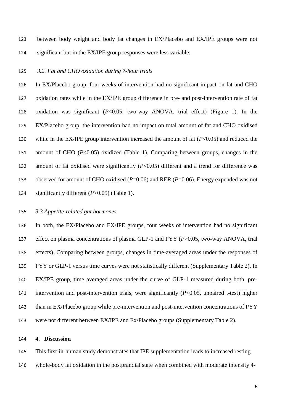between body weight and body fat changes in EX/Placebo and EX/IPE groups were not significant but in the EX/IPE group responses were less variable.

### *3.2. Fat and CHO oxidation during 7-hour trials*

 In EX/Placebo group, four weeks of intervention had no significant impact on fat and CHO oxidation rates while in the EX/IPE group difference in pre- and post-intervention rate of fat oxidation was significant (*P*<0.05, two-way ANOVA, trial effect) (Figure 1). In the EX/Placebo group, the intervention had no impact on total amount of fat and CHO oxidised while in the EX/IPE group intervention increased the amount of fat (*P*<0.05) and reduced the amount of CHO (*P*<0.05) oxidized (Table 1). Comparing between groups, changes in the amount of fat oxidised were significantly (*P*<0.05) different and a trend for difference was observed for amount of CHO oxidised (*P*=0.06) and RER (*P*=0.06). Energy expended was not significantly different (*P*>0.05) (Table 1).

### *3.3 Appetite-related gut hormones*

 In both, the EX/Placebo and EX/IPE groups, four weeks of intervention had no significant effect on plasma concentrations of plasma GLP-1 and PYY (*P*>0.05, two-way ANOVA, trial effects). Comparing between groups, changes in time-averaged areas under the responses of PYY or GLP-1 versus time curves were not statistically different (Supplementary Table 2). In EX/IPE group, time averaged areas under the curve of GLP-1 measured during both, pre- intervention and post-intervention trials, were significantly (*P*<0.05, unpaired t-test) higher than in EX/Placebo group while pre-intervention and post-intervention concentrations of PYY were not different between EX/IPE and Ex/Placebo groups (Supplementary Table 2).

## **4. Discussion**

This first-in-human study demonstrates that IPE supplementation leads to increased resting

whole-body fat oxidation in the postprandial state when combined with moderate intensity 4-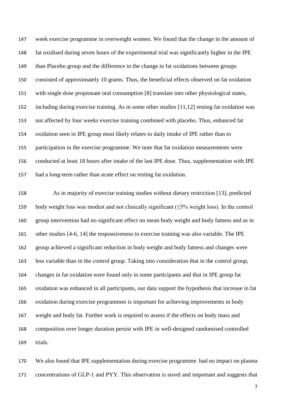week exercise programme in overweight women. We found that the change in the amount of fat oxidised during seven hours of the experimental trial was significantly higher in the IPE than Placebo group and the difference in the change in fat oxidations between groups consisted of approximately 10 grams. Thus, the beneficial effects observed on fat oxidation with single dose propionate oral consumption [8] translate into other physiological states, including during exercise training. As in some other studies [11,12] resting fat oxidation was not affected by four weeks exercise training combined with placebo. Thus, enhanced fat oxidation seen in IPE group most likely relates to daily intake of IPE rather than to participation in the exercise programme. We note that fat oxidation measurements were conducted at least 18 hours after intake of the last IPE dose. Thus, supplementation with IPE had a long-term rather than acute effect on resting fat oxidation.

 As in majority of exercise training studies without dietary restriction [13], predicted body weight loss was modest and not clinically significant (≤5% weight loss). In the control group intervention had no significant effect on mean body weight and body fatness and as in other studies [4-6, 14] the responsiveness to exercise training was also variable. The IPE group achieved a significant reduction in body weight and body fatness and changes were less variable than in the control group. Taking into consideration that in the control group, changes in fat oxidation were found only in some participants and that in IPE group fat oxidation was enhanced in all participants, our data support the hypothesis that increase in fat oxidation during exercise programmes is important for achieving improvements in body weight and body fat. Further work is required to assess if the effects on body mass and composition over longer duration persist with IPE in well-designed randomised controlled trials.

 We also found that IPE supplementation during exercise programme had no impact on plasma concentrations of GLP-1 and PYY. This observation is novel and important and suggests that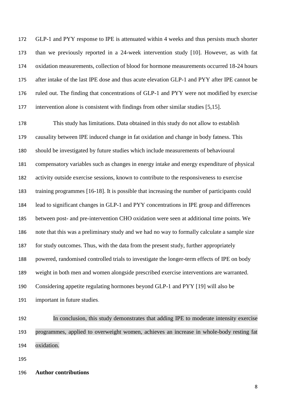GLP-1 and PYY response to IPE is attenuated within 4 weeks and thus persists much shorter than we previously reported in a 24-week intervention study [10]. However, as with fat oxidation measurements, collection of blood for hormone measurements occurred 18-24 hours after intake of the last IPE dose and thus acute elevation GLP-1 and PYY after IPE cannot be ruled out. The finding that concentrations of GLP-1 and PYY were not modified by exercise intervention alone is consistent with findings from other similar studies [5,15].

 This study has limitations. Data obtained in this study do not allow to establish causality between IPE induced change in fat oxidation and change in body fatness. This should be investigated by future studies which include measurements of behavioural compensatory variables such as changes in energy intake and energy expenditure of physical activity outside exercise sessions, known to contribute to the responsiveness to exercise training programmes [16-18]. It is possible that increasing the number of participants could lead to significant changes in GLP-1 and PYY concentrations in IPE group and differences between post- and pre-intervention CHO oxidation were seen at additional time points. We note that this was a preliminary study and we had no way to formally calculate a sample size for study outcomes. Thus, with the data from the present study, further appropriately powered, randomised controlled trials to investigate the longer-term effects of IPE on body weight in both men and women alongside prescribed exercise interventions are warranted. Considering appetite regulating hormones beyond GLP-1 and PYY [19] will also be important in future studies.

 In conclusion, this study demonstrates that adding IPE to moderate intensity exercise programmes, applied to overweight women, achieves an increase in whole-body resting fat oxidation.

## **Author contributions**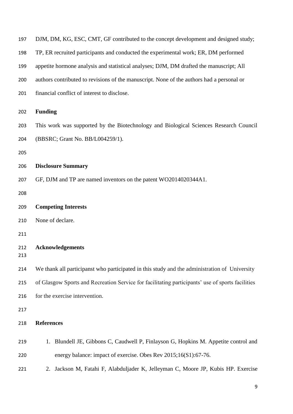| 197        | DJM, DM, KG, ESC, CMT, GF contributed to the concept development and designed study;             |
|------------|--------------------------------------------------------------------------------------------------|
| 198        | TP, ER recruited participants and conducted the experimental work; ER, DM performed              |
| 199        | appetite hormone analysis and statistical analyses; DJM, DM drafted the manuscript; All          |
| 200        | authors contributed to revisions of the manuscript. None of the authors had a personal or        |
| 201        | financial conflict of interest to disclose.                                                      |
| 202        | <b>Funding</b>                                                                                   |
| 203        | This work was supported by the Biotechnology and Biological Sciences Research Council            |
| 204        | (BBSRC; Grant No. BB/L004259/1).                                                                 |
| 205        |                                                                                                  |
| 206        | <b>Disclosure Summary</b>                                                                        |
| 207        | GF, DJM and TP are named inventors on the patent WO2014020344A1.                                 |
| 208        |                                                                                                  |
| 209        | <b>Competing Interests</b>                                                                       |
| 210        | None of declare.                                                                                 |
| 211        |                                                                                                  |
| 212<br>213 | <b>Acknowledgements</b>                                                                          |
| 214        | We thank all participanst who participated in this study and the administration of University    |
| 215        | of Glasgow Sports and Recreation Service for facilitating participants' use of sports facilities |
| 216        | for the exercise intervention.                                                                   |
| 217        |                                                                                                  |
| 218        | <b>References</b>                                                                                |
| 219        | Blundell JE, Gibbons C, Caudwell P, Finlayson G, Hopkins M. Appetite control and<br>1.           |
| 220        | energy balance: impact of exercise. Obes Rev 2015;16(S1):67-76.                                  |
| 221        | Jackson M, Fatahi F, Alabduljader K, Jelleyman C, Moore JP, Kubis HP. Exercise<br>2.             |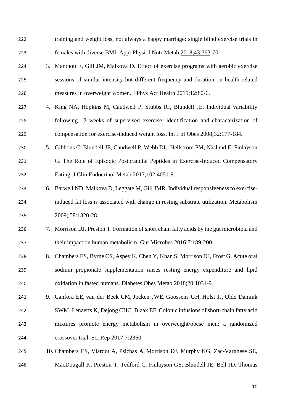| 222 | training and weight loss, not always a happy marriage: single blind exercise trials in    |
|-----|-------------------------------------------------------------------------------------------|
| 223 | females with diverse BMI. Appl Physiol Nutr Metab 2018;43:363-70.                         |
| 224 | 3. Manthou E, Gill JM, Malkova D. Effect of exercise programs with aerobic exercise       |
| 225 | sessions of similar intensity but different frequency and duration on health-related      |
| 226 | measures in overweight women. J Phys Act Health 2015;12:80-6.                             |
| 227 | 4. King NA, Hopkins M, Caudwell P, Stubbs RJ, Blundell JE. Individual variability         |
| 228 | following 12 weeks of supervised exercise: identification and characterization of         |
| 229 | compensation for exercise-induced weight loss. Int J of Obes 2008;32:177-184.             |
| 230 | 5. Gibbons C, Blundell JE, Caudwell P, Webb DL, Hellström PM, Näslund E, Finlayson        |
| 231 | G. The Role of Episodic Postprandial Peptides in Exercise-Induced Compensatory            |
| 232 | Eating. J Clin Endocrinol Metab 2017;102:4051-9.                                          |
| 233 | 6. Barwell ND, Malkova D, Leggate M, Gill JMR. Individual responsiveness to exercise-     |
| 234 | induced fat loss is associated with change in resting substrate utilization. Metabolism   |
| 235 | 2009; 58:1320-28.                                                                         |
| 236 | 7. Morrison DJ, Preston T. Formation of short chain fatty acids by the gut microbiota and |
| 237 | their impact on human metabolism. Gut Microbes 2016;7:189-200.                            |
| 238 | 8. Chambers ES, Byrne CS, Aspey K, Chen Y, Khan S, Morrison DJ, Frost G. Acute oral       |
| 239 | sodium propionate supplementation raises resting energy expenditure and lipid             |
| 240 | oxidation in fasted humans. Diabetes Obes Metab 2018;20:1034-9.                           |
| 241 | 9. Canfora EE, van der Beek CM, Jocken JWE, Goossens GH, Holst JJ, Olde Damink            |
| 242 | SWM, Lenaerts K, Dejong CHC, Blaak EE Colonic infusions of short-chain fatty acid         |
| 243 | mixtures promote energy metabolism in overweight/obese men: a randomized                  |
| 244 | crossover trial. Sci Rep 2017;7:2360.                                                     |
| 245 | 10. Chambers ES, Viardot A, Psichas A, Morrison DJ, Murphy KG, Zac-Varghese SE,           |
| 246 | MacDougall K, Preston T, Tedford C, Finlayson GS, Blundell JE, Bell JD, Thomas            |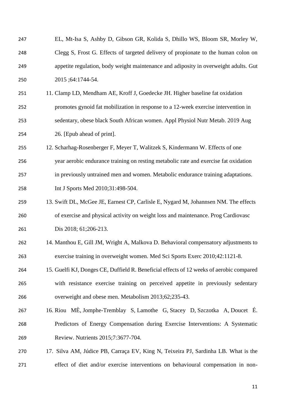| 247 | EL, Mt-Isa S, Ashby D, Gibson GR, Kolida S, Dhillo WS, Bloom SR, Morley W,               |
|-----|------------------------------------------------------------------------------------------|
| 248 | Clegg S, Frost G. Effects of targeted delivery of propionate to the human colon on       |
| 249 | appetite regulation, body weight maintenance and adiposity in overweight adults. Gut     |
| 250 | 2015;64:1744-54.                                                                         |
| 251 | 11. Clamp LD, Mendham AE, Kroff J, Goedecke JH. Higher baseline fat oxidation            |
| 252 | promotes gynoid fat mobilization in response to a 12-week exercise intervention in       |
| 253 | sedentary, obese black South African women. Appl Physiol Nutr Metab. 2019 Aug            |
| 254 | 26. [Epub ahead of print].                                                               |
| 255 | 12. Scharhag-Rosenberger F, Meyer T, Walitzek S, Kindermann W. Effects of one            |
| 256 | year aerobic endurance training on resting metabolic rate and exercise fat oxidation     |
| 257 | in previously untrained men and women. Metabolic endurance training adaptations.         |
| 258 | Int J Sports Med 2010;31:498-504.                                                        |
| 259 | 13. Swift DL, McGee JE, Earnest CP, Carlisle E, Nygard M, Johannsen NM. The effects      |
| 260 | of exercise and physical activity on weight loss and maintenance. Prog Cardiovasc        |
| 261 | Dis 2018; 61; 206-213.                                                                   |
| 262 | 14. Manthou E, Gill JM, Wright A, Malkova D. Behavioral compensatory adjustments to      |
| 263 | exercise training in overweight women. Med Sci Sports Exerc 2010;42:1121-8.              |
| 264 | 15. Guelfi KJ, Donges CE, Duffield R. Beneficial effects of 12 weeks of aerobic compared |
| 265 | with resistance exercise training on perceived appetite in previously sedentary          |
| 266 | overweight and obese men. Metabolism 2013;62;235-43.                                     |
| 267 | 16. Riou ME, Jomphe-Tremblay S, Lamothe G, Stacey D, Szczotka A, Doucet É.               |
| 268 | Predictors of Energy Compensation during Exercise Interventions: A Systematic            |
| 269 | Review. Nutrients 2015;7:3677-704.                                                       |
| 270 | 17. Silva AM, Júdice PB, Carraça EV, King N, Teixeira PJ, Sardinha LB. What is the       |
| 271 | effect of diet and/or exercise interventions on behavioural compensation in non-         |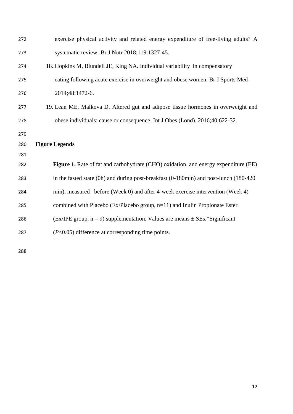| 272 | exercise physical activity and related energy expenditure of free-living adults? A    |
|-----|---------------------------------------------------------------------------------------|
| 273 | systematic review. Br J Nutr 2018;119:1327-45.                                        |
| 274 | 18. Hopkins M, Blundell JE, King NA. Individual variability in compensatory           |
| 275 | eating following acute exercise in overweight and obese women. Br J Sports Med        |
| 276 | 2014;48:1472-6.                                                                       |
| 277 | 19. Lean ME, Malkova D. Altered gut and adipose tissue hormones in overweight and     |
| 278 | obese individuals: cause or consequence. Int J Obes (Lond). 2016;40:622-32.           |
| 279 |                                                                                       |
| 280 | <b>Figure Legends</b>                                                                 |
| 281 |                                                                                       |
| 282 | Figure 1. Rate of fat and carbohydrate (CHO) oxidation, and energy expenditure (EE)   |
| 283 | in the fasted state (0h) and during post-breakfast (0-180min) and post-lunch (180-420 |
| 284 | min), measured before (Week 0) and after 4-week exercise intervention (Week 4)        |
| 285 | combined with Placebo (Ex/Placebo group, $n=11$ ) and Inulin Propionate Ester         |
| 286 | (Ex/IPE group, $n = 9$ ) supplementation. Values are means $\pm$ SEs.*Significant     |
| 287 | $(P<0.05)$ difference at corresponding time points.                                   |
|     |                                                                                       |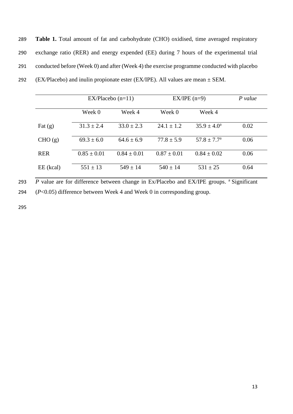**Table 1.** Total amount of fat and carbohydrate (CHO) oxidised, time averaged respiratory exchange ratio (RER) and energy expended (EE) during 7 hours of the experimental trial conducted before (Week 0) and after (Week 4) the exercise programme conducted with placebo 292 (EX/Placebo) and inulin propionate ester (EX/IPE). All values are mean  $\pm$  SEM.

|            | $EX/Placebo (n=11)$ |                 | $EX/IPE$ (n=9)  | P value                |      |
|------------|---------------------|-----------------|-----------------|------------------------|------|
|            | Week 0              | Week 4          | Week 0          | Week 4                 |      |
| Fat $(g)$  | $31.3 \pm 2.4$      | $33.0 \pm 2.3$  | $24.1 \pm 1.2$  | $35.9 \pm 4.0^{\circ}$ | 0.02 |
| CHO(g)     | $69.3 \pm 6.0$      | $64.6 \pm 6.9$  | $77.8 \pm 5.9$  | $57.8 \pm 7.7^{\rm a}$ | 0.06 |
| <b>RER</b> | $0.85 \pm 0.01$     | $0.84 \pm 0.01$ | $0.87 \pm 0.01$ | $0.84 \pm 0.02$        | 0.06 |
| EE (kcal)  | $551 \pm 13$        | $549 \pm 14$    | $540 \pm 14$    | $531 \pm 25$           | 0.64 |

293  $\overline{P}$  value are for difference between change in Ex/Placebo and EX/IPE groups. <sup>a</sup> Significant

294 (*P*<0.05) difference between Week 4 and Week 0 in corresponding group.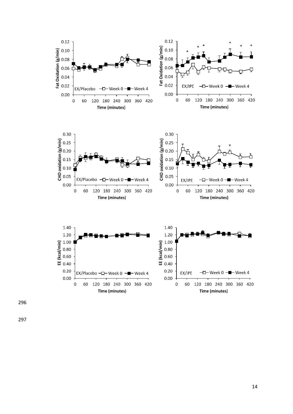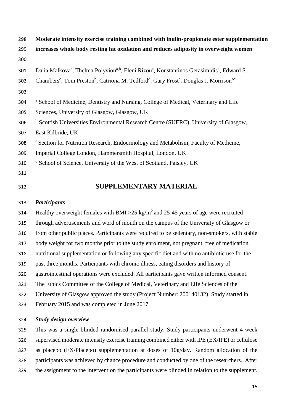| 298 | Moderate intensity exercise training combined with inulin-propionate ester supplementation                                                        |
|-----|---------------------------------------------------------------------------------------------------------------------------------------------------|
| 299 | increases whole body resting fat oxidation and reduces adiposity in overweight women                                                              |
| 300 |                                                                                                                                                   |
| 301 | Dalia Malkova <sup>a</sup> , Thelma Polyviou <sup>a,b</sup> , Eleni Rizou <sup>a</sup> , Konstantinos Gerasimidis <sup>a</sup> , Edward S.        |
| 302 | Chambers <sup>c</sup> , Tom Preston <sup>b</sup> , Catriona M. Tedford <sup>d</sup> , Gary Frost <sup>c</sup> , Douglas J. Morrison <sup>b*</sup> |
| 303 |                                                                                                                                                   |
| 304 | <sup>a</sup> School of Medicine, Dentistry and Nursing, College of Medical, Veterinary and Life                                                   |
| 305 | Sciences, University of Glasgow, Glasgow, UK                                                                                                      |
| 306 | <sup>b</sup> Scottish Universities Environmental Research Centre (SUERC), University of Glasgow,                                                  |
| 307 | East Kilbride, UK                                                                                                                                 |
| 308 | <sup>c</sup> Section for Nutrition Research, Endocrinology and Metabolism, Faculty of Medicine,                                                   |
| 309 | Imperial College London, Hammersmith Hospital, London, UK                                                                                         |
| 310 | <sup>d</sup> School of Science, University of the West of Scotland, Paisley, UK                                                                   |
| 311 |                                                                                                                                                   |
| 312 | SUPPLEMENTARY MATERIAL                                                                                                                            |
| 313 | <b>Participants</b>                                                                                                                               |
| 314 | Healthy overweight females with BMI > $25 \text{ kg/m}^2$ and 25-45 years of age were recruited                                                   |

 through advertisements and word of mouth on the campus of the University of Glasgow or from other public places. Participants were required to be sedentary, non-smokers, with stable body weight for two months prior to the study enrolment, not pregnant, free of medication, nutritional supplementation or following any specific diet and with no antibiotic use for the past three months. Participants with chronic illness, eating disorders and history of gastrointestinal operations were excluded. All participants gave written informed consent. The Ethics Committee of the College of Medical, Veterinary and Life Sciences of the University of Glasgow approved the study (Project Number: 200140132). Study started in February 2015 and was completed in June 2017.

# *Study design overview*

 This was a single blinded randomised parallel study. Study participants underwent 4 week supervised moderate intensity exercise training combined either with IPE (EX/IPE) or cellulose as placebo (EX/Placebo) supplementation at doses of 10g/day. Random allocation of the participants was achieved by chance procedure and conducted by one of the researchers. After the assignment to the intervention the participants were blinded in relation to the supplement.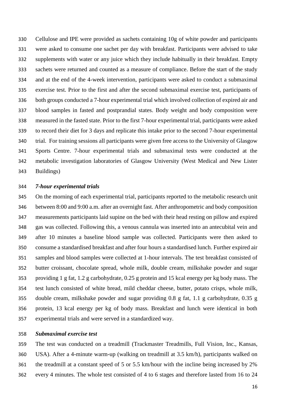Cellulose and IPE were provided as sachets containing 10g of white powder and participants were asked to consume one sachet per day with breakfast. Participants were advised to take supplements with water or any juice which they include habitually in their breakfast. Empty sachets were returned and counted as a measure of compliance. Before the start of the study and at the end of the 4-week intervention, participants were asked to conduct a submaximal exercise test. Prior to the first and after the second submaximal exercise test, participants of both groups conducted a 7-hour experimental trial which involved collection of expired air and blood samples in fasted and postprandial states. Body weight and body composition were measured in the fasted state. Prior to the first 7-hour experimental trial, participants were asked to record their diet for 3 days and replicate this intake prior to the second 7-hour experimental trial. For training sessions all participants were given free access to the University of Glasgow Sports Centre. 7-hour experimental trials and submaximal tests were conducted at the metabolic investigation laboratories of Glasgow University (West Medical and New Lister Buildings)

### *7-hour experimental trials*

 On the morning of each experimental trial, participants reported to the metabolic research unit between 8:00 and 9:00 a.m. after an overnight fast. After anthropometric and body composition measurements participants laid supine on the bed with their head resting on pillow and expired gas was collected. Following this, a venous cannula was inserted into an antecubital vein and after 10 minutes a baseline blood sample was collected. Participants were then asked to consume a standardised breakfast and after four hours a standardised lunch. Further expired air samples and blood samples were collected at 1-hour intervals. The test breakfast consisted of butter croissant, chocolate spread, whole milk, double cream, milkshake powder and sugar providing 1 g fat, 1.2 g carbohydrate, 0.25 g protein and 15 kcal energy per kg body mass. The test lunch consisted of white bread, mild cheddar cheese, butter, potato crisps, whole milk, double cream, milkshake powder and sugar providing 0.8 g fat, 1.1 g carbohydrate, 0.35 g protein, 13 kcal energy per kg of body mass. Breakfast and lunch were identical in both experimental trials and were served in a standardized way.

### *Submaximal exercise test*

 The test was conducted on a treadmill (Trackmaster Treadmills, Full Vision, Inc., Kansas, USA). After a 4-minute warm-up (walking on treadmill at 3.5 km/h), participants walked on the treadmill at a constant speed of 5 or 5.5 km/hour with the incline being increased by 2% every 4 minutes. The whole test consisted of 4 to 6 stages and therefore lasted from 16 to 24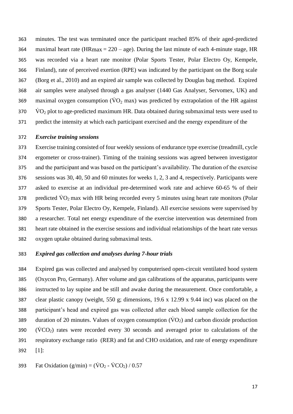minutes. The test was terminated once the participant reached 85% of their aged-predicted 364 maximal heart rate ( $HR_{max} = 220 - age$ ). During the last minute of each 4-minute stage, HR was recorded via a heart rate monitor (Polar Sports Tester, Polar Electro Oy, Kempele, Finland), rate of perceived exertion (RPE) was indicated by the participant on the Borg scale (Borg et al., 2010) and an expired air sample was collected by Douglas bag method. Expired air samples were analysed through a gas analyser (1440 Gas Analyser, Servomex, UK) and 369 maximal oxygen consumption  $(\dot{V}O_2 \text{ max})$  was predicted by extrapolation of the HR against VO<sub>2</sub> plot to age-predicted maximum HR. Data obtained during submaximal tests were used to predict the intensity at which each participant exercised and the energy expenditure of the

## *Exercise training sessions*

 Exercise training consisted of four weekly sessions of endurance type exercise (treadmill, cycle ergometer or cross-trainer). Timing of the training sessions was agreed between investigator and the participant and was based on the participant's availability. The duration of the exercise sessions was 30, 40, 50 and 60 minutes for weeks 1, 2, 3 and 4, respectively. Participants were asked to exercise at an individual pre-determined work rate and achieve 60-65 % of their 378 predicted  $\rm\dot{VO}_2$  max with HR being recorded every 5 minutes using heart rate monitors (Polar Sports Tester, Polar Electro Oy, Kempele, Finland). All exercise sessions were supervised by a researcher. Total net energy expenditure of the exercise intervention was determined from heart rate obtained in the exercise sessions and individual relationships of the heart rate versus oxygen uptake obtained during submaximal tests.

## *Expired gas collection and analyses during 7-hour trials*

 Expired gas was collected and analysed by computerised open-circuit ventilated hood system (Oxycon Pro, Germany). After volume and gas calibrations of the apparatus, participants were instructed to lay supine and be still and awake during the measurement. Once comfortable, a clear plastic canopy (weight, 550 g; dimensions, 19.6 x 12.99 x 9.44 inc) was placed on the participant's head and expired gas was collected after each blood sample collection for the 389 duration of 20 minutes. Values of oxygen consumption  $(\dot{V}O_2)$  and carbon dioxide production (VCO<sub>2</sub>) rates were recorded every 30 seconds and averaged prior to calculations of the respiratory exchange ratio (RER) and fat and CHO oxidation, and rate of energy expenditure [1]:

393 Fat Oxidation 
$$
(g/min) = (\dot{V}O_2 - \dot{V}CO_2) / 0.57
$$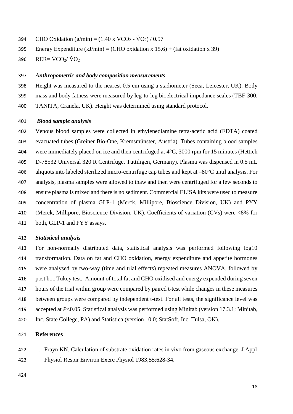- 394 CHO Oxidation  $(g/\text{min}) = (1.40 \text{ x } \text{VCO}_2 \text{VO}_2) / 0.57$
- 395 Energy Expenditure (kJ/min) = (CHO oxidation x 15.6) + (fat oxidation x 39)
- 396 RER=  $\dot{V}CO_2/\dot{V}O_2$

### *Anthropometric and body composition measurements*

 Height was measured to the nearest 0.5 cm using a stadiometer (Seca, Leicester, UK). Body mass and body fatness were measured by leg-to-leg bioelectrical impedance scales (TBF-300, TANITA, Cranela, UK). Height was determined using standard protocol.

### *Blood sample analysis*

 Venous blood samples were collected in ethylenediamine tetra-acetic acid (EDTA) coated evacuated tubes (Greiner Bio-One, Kremsmünster, Austria). Tubes containing blood samples were immediately placed on ice and then centrifuged at 4°C, 3000 rpm for 15 minutes (Hettich D-78532 Universal 320 R Centrifuge, Tuttiligen, Germany). Plasma was dispensed in 0.5 mL aliquots into labeled sterilized micro-centrifuge cap tubes and kept at –80°C until analysis. For analysis, plasma samples were allowed to thaw and then were centrifuged for a few seconds to ensure plasma is mixed and there is no sediment. Commercial ELISA kits were used to measure concentration of plasma GLP-1 (Merck, Millipore, Bioscience Division, UK) and PYY (Merck, Millipore, Bioscience Division, UK). Coefficients of variation (CVs) were <8% for both, GLP-1 and PYY assays.

#### *Statistical analysis*

 For non-normally distributed data, statistical analysis was performed following log10 transformation. Data on fat and CHO oxidation, energy expenditure and appetite hormones were analysed by two-way (time and trial effects) repeated measures ANOVA, followed by post hoc Tukey test. Amount of total fat and CHO oxidised and energy expended during seven hours of the trial within group were compared by paired t-test while changes in these measures between groups were compared by independent t-test. For all tests, the significance level was accepted at *P*<0.05. Statistical analysis was performed using Minitab (version 17.3.1; Minitab, Inc. State College, PA) and Statistica (version 10.0; StatSoft, Inc. Tulsa, OK).

## **References**

- 1. Frayn KN. [Calculation of substrate oxidation rates in vivo from gaseous exchange.](https://www.ncbi.nlm.nih.gov/pubmed/6618956) J Appl Physiol Respir Environ Exerc Physiol 1983;55:628-34.
-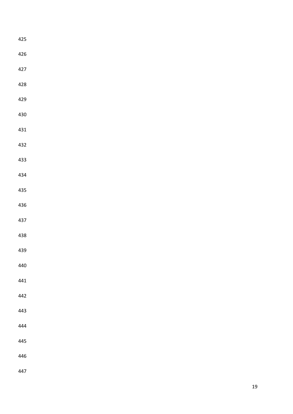| 425 |  |  |  |
|-----|--|--|--|
| 426 |  |  |  |
| 427 |  |  |  |
| 428 |  |  |  |
| 429 |  |  |  |
| 430 |  |  |  |
| 431 |  |  |  |
| 432 |  |  |  |
| 433 |  |  |  |
| 434 |  |  |  |
| 435 |  |  |  |
| 436 |  |  |  |
| 437 |  |  |  |
| 438 |  |  |  |
| 439 |  |  |  |
| 440 |  |  |  |
| 441 |  |  |  |
| 442 |  |  |  |
| 443 |  |  |  |
| 444 |  |  |  |
| 445 |  |  |  |
| 446 |  |  |  |
| 447 |  |  |  |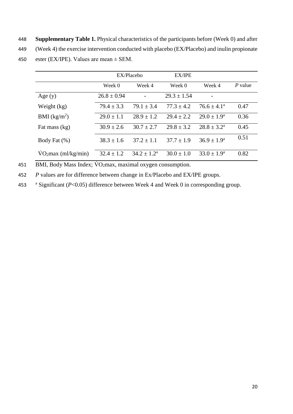- 448 **Supplementary Table 1.** Physical characteristics of the participants before (Week 0) and after
- 449 (Week 4) the exercise intervention conducted with placebo (EX/Placebo) and inulin propionate

|                                   | EX/Placebo      |                  | EX/IPE          |                          |         |
|-----------------------------------|-----------------|------------------|-----------------|--------------------------|---------|
|                                   | Week 0          | Week 4           | Week 0          | Week 4                   | P value |
| Age $(y)$                         | $26.8 \pm 0.94$ |                  | $29.3 \pm 1.54$ | $\overline{\phantom{0}}$ |         |
| Weight (kg)                       | $79.4 \pm 3.3$  | $79.1 \pm 3.4$   | $77.3 \pm 4.2$  | $76.6 \pm 4.1^{\circ}$   | 0.47    |
| BMI $(kg/m^2)$                    | $29.0 \pm 1.1$  | $28.9 \pm 1.2$   | $29.4 \pm 2.2$  | $29.0 \pm 1.9^{\circ}$   | 0.36    |
| Fat mass (kg)                     | $30.9 \pm 2.6$  | $30.7 \pm 2.7$   | $29.8 \pm 3.2$  | $28.8 \pm 3.2^{\circ}$   | 0.45    |
| Body Fat (%)                      | $38.3 \pm 1.6$  | $37.2 \pm 1.1$   | $37.7 \pm 1.9$  | $36.9 \pm 1.9^{\rm a}$   | 0.51    |
| $\overline{VO_2}$ max (ml/kg/min) | $32.4 \pm 1.2$  | $34.2 \pm 1.2^a$ | $30.0 \pm 1.0$  | $33.0 \pm 1.9^{\circ}$   | 0.82    |

450 ester (EX/IPE). Values are mean  $\pm$  SEM.

451 BMI, Body Mass Index; VO<sub>2</sub>max, maximal oxygen consumption.

452 *P* values are for difference between change in Ex/Placebo and EX/IPE groups.

453 <sup>a</sup> Significant (*P*<0.05) difference between Week 4 and Week 0 in corresponding group.